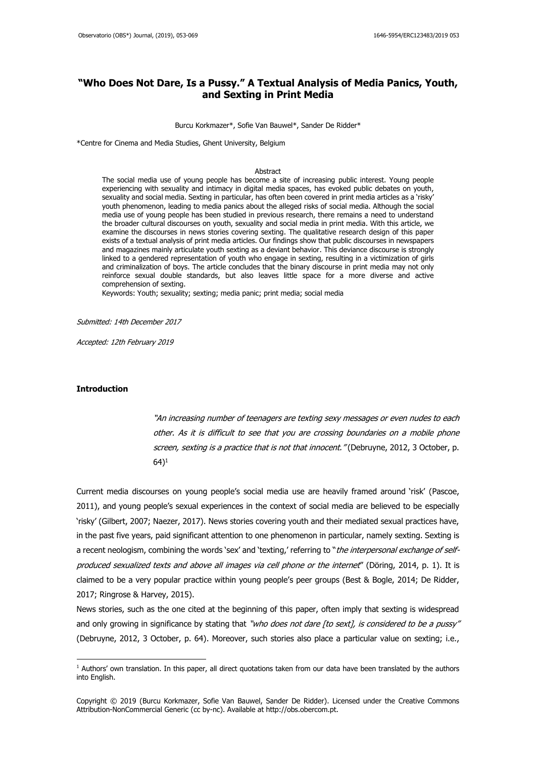# **"Who Does Not Dare, Is a Pussy." A Textual Analysis of Media Panics, Youth, and Sexting in Print Media**

#### Burcu Korkmazer\*, Sofie Van Bauwel\*, Sander De Ridder\*

\*Centre for Cinema and Media Studies, Ghent University, Belgium

#### Abstract

The social media use of young people has become a site of increasing public interest. Young people experiencing with sexuality and intimacy in digital media spaces, has evoked public debates on youth, sexuality and social media. Sexting in particular, has often been covered in print media articles as a 'risky' youth phenomenon, leading to media panics about the alleged risks of social media. Although the social media use of young people has been studied in previous research, there remains a need to understand the broader cultural discourses on youth, sexuality and social media in print media. With this article, we examine the discourses in news stories covering sexting. The qualitative research design of this paper exists of a textual analysis of print media articles. Our findings show that public discourses in newspapers and magazines mainly articulate youth sexting as a deviant behavior. This deviance discourse is strongly linked to a gendered representation of youth who engage in sexting, resulting in a victimization of girls and criminalization of boys. The article concludes that the binary discourse in print media may not only reinforce sexual double standards, but also leaves little space for a more diverse and active comprehension of sexting.

Keywords: Youth; sexuality; sexting; media panic; print media; social media

Submitted: 14th December 2017

Accepted: 12th February 2019

## **Introduction**

**.** 

"An increasing number of teenagers are texting sexy messages or even nudes to each other. As it is difficult to see that you are crossing boundaries on a mobile phone screen, sexting is a practice that is not that innocent." (Debruyne, 2012, 3 October, p.  $(64)^1$ 

Current media discourses on young people's social media use are heavily framed around 'risk' (Pascoe, 2011), and young people's sexual experiences in the context of social media are believed to be especially 'risky' (Gilbert, 2007; Naezer, 2017). News stories covering youth and their mediated sexual practices have, in the past five years, paid significant attention to one phenomenon in particular, namely sexting. Sexting is a recent neologism, combining the words 'sex' and 'texting,' referring to "*the interpersonal exchange of self*produced sexualized texts and above all images via cell phone or the internet" (Döring, 2014, p. 1). It is claimed to be a very popular practice within young people's peer groups (Best & Bogle, 2014; De Ridder, 2017; Ringrose & Harvey, 2015).

News stories, such as the one cited at the beginning of this paper, often imply that sexting is widespread and only growing in significance by stating that "who does not dare [to sext], is considered to be a pussy" (Debruyne, 2012, 3 October, p. 64). Moreover, such stories also place a particular value on sexting; i.e.,

 $<sup>1</sup>$  Authors' own translation. In this paper, all direct quotations taken from our data have been translated by the authors</sup> into English.

Copyright © 2019 (Burcu Korkmazer, Sofie Van Bauwel, Sander De Ridder). Licensed under the Creative Commons Attribution-NonCommercial Generic (cc by-nc). Available at http://obs.obercom.pt.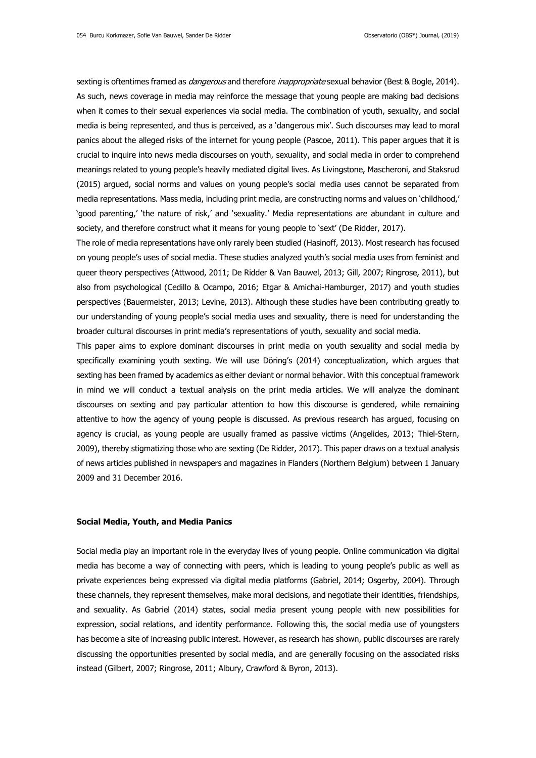sexting is oftentimes framed as *dangerous* and therefore *inappropriate* sexual behavior (Best & Bogle, 2014). As such, news coverage in media may reinforce the message that young people are making bad decisions when it comes to their sexual experiences via social media. The combination of youth, sexuality, and social media is being represented, and thus is perceived, as a 'dangerous mix'. Such discourses may lead to moral panics about the alleged risks of the internet for young people (Pascoe, 2011). This paper argues that it is crucial to inquire into news media discourses on youth, sexuality, and social media in order to comprehend meanings related to young people's heavily mediated digital lives. As Livingstone, Mascheroni, and Staksrud (2015) argued, social norms and values on young people's social media uses cannot be separated from media representations. Mass media, including print media, are constructing norms and values on 'childhood,' 'good parenting,' 'the nature of risk,' and 'sexuality.' Media representations are abundant in culture and society, and therefore construct what it means for young people to 'sext' (De Ridder, 2017).

The role of media representations have only rarely been studied (Hasinoff, 2013). Most research has focused on young people's uses of social media. These studies analyzed youth's social media uses from feminist and queer theory perspectives (Attwood, 2011; De Ridder & Van Bauwel, 2013; Gill, 2007; Ringrose, 2011), but also from psychological (Cedillo & Ocampo, 2016; Etgar & Amichai-Hamburger, 2017) and youth studies perspectives (Bauermeister, 2013; Levine, 2013). Although these studies have been contributing greatly to our understanding of young people's social media uses and sexuality, there is need for understanding the broader cultural discourses in print media's representations of youth, sexuality and social media.

This paper aims to explore dominant discourses in print media on youth sexuality and social media by specifically examining youth sexting. We will use Döring's (2014) conceptualization, which argues that sexting has been framed by academics as either deviant or normal behavior. With this conceptual framework in mind we will conduct a textual analysis on the print media articles. We will analyze the dominant discourses on sexting and pay particular attention to how this discourse is gendered, while remaining attentive to how the agency of young people is discussed. As previous research has argued, focusing on agency is crucial, as young people are usually framed as passive victims (Angelides, 2013; Thiel-Stern, 2009), thereby stigmatizing those who are sexting (De Ridder, 2017). This paper draws on a textual analysis of news articles published in newspapers and magazines in Flanders (Northern Belgium) between 1 January 2009 and 31 December 2016.

### **Social Media, Youth, and Media Panics**

Social media play an important role in the everyday lives of young people. Online communication via digital media has become a way of connecting with peers, which is leading to young people's public as well as private experiences being expressed via digital media platforms (Gabriel, 2014; Osgerby, 2004). Through these channels, they represent themselves, make moral decisions, and negotiate their identities, friendships, and sexuality. As Gabriel (2014) states, social media present young people with new possibilities for expression, social relations, and identity performance. Following this, the social media use of youngsters has become a site of increasing public interest. However, as research has shown, public discourses are rarely discussing the opportunities presented by social media, and are generally focusing on the associated risks instead (Gilbert, 2007; Ringrose, 2011; Albury, Crawford & Byron, 2013).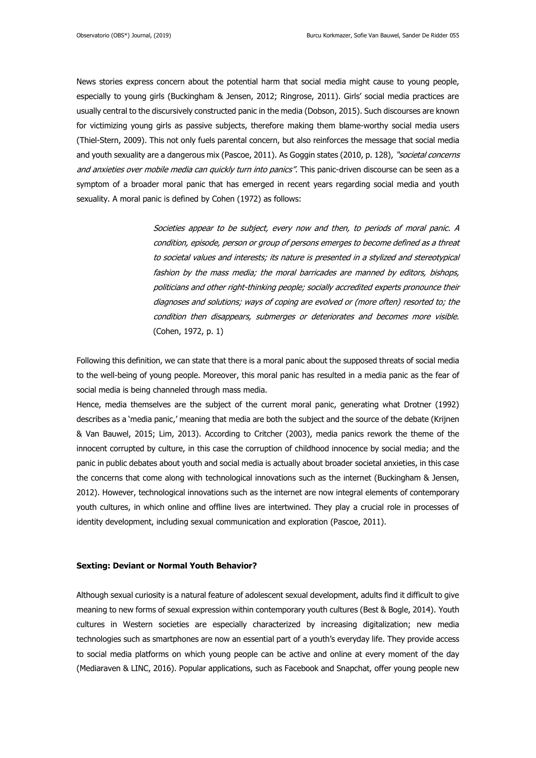News stories express concern about the potential harm that social media might cause to young people, especially to young girls (Buckingham & Jensen, 2012; Ringrose, 2011). Girls' social media practices are usually central to the discursively constructed panic in the media (Dobson, 2015). Such discourses are known for victimizing young girls as passive subjects, therefore making them blame-worthy social media users (Thiel-Stern, 2009). This not only fuels parental concern, but also reinforces the message that social media and youth sexuality are a dangerous mix (Pascoe, 2011). As Goggin states (2010, p. 128), "societal concerns and anxieties over mobile media can quickly turn into panics". This panic-driven discourse can be seen as a symptom of a broader moral panic that has emerged in recent years regarding social media and youth sexuality. A moral panic is defined by Cohen (1972) as follows:

> Societies appear to be subject, every now and then, to periods of moral panic. A condition, episode, person or group of persons emerges to become defined as a threat to societal values and interests; its nature is presented in a stylized and stereotypical fashion by the mass media; the moral barricades are manned by editors, bishops, politicians and other right-thinking people; socially accredited experts pronounce their diagnoses and solutions; ways of coping are evolved or (more often) resorted to; the condition then disappears, submerges or deteriorates and becomes more visible. (Cohen, 1972, p. 1)

Following this definition, we can state that there is a moral panic about the supposed threats of social media to the well-being of young people. Moreover, this moral panic has resulted in a media panic as the fear of social media is being channeled through mass media.

Hence, media themselves are the subject of the current moral panic, generating what Drotner (1992) describes as a 'media panic,' meaning that media are both the subject and the source of the debate (Krijnen & Van Bauwel, 2015; Lim, 2013). According to Critcher (2003), media panics rework the theme of the innocent corrupted by culture, in this case the corruption of childhood innocence by social media; and the panic in public debates about youth and social media is actually about broader societal anxieties, in this case the concerns that come along with technological innovations such as the internet (Buckingham & Jensen, 2012). However, technological innovations such as the internet are now integral elements of contemporary youth cultures, in which online and offline lives are intertwined. They play a crucial role in processes of identity development, including sexual communication and exploration (Pascoe, 2011).

# **Sexting: Deviant or Normal Youth Behavior?**

Although sexual curiosity is a natural feature of adolescent sexual development, adults find it difficult to give meaning to new forms of sexual expression within contemporary youth cultures (Best & Bogle, 2014). Youth cultures in Western societies are especially characterized by increasing digitalization; new media technologies such as smartphones are now an essential part of a youth's everyday life. They provide access to social media platforms on which young people can be active and online at every moment of the day (Mediaraven & LINC, 2016). Popular applications, such as Facebook and Snapchat, offer young people new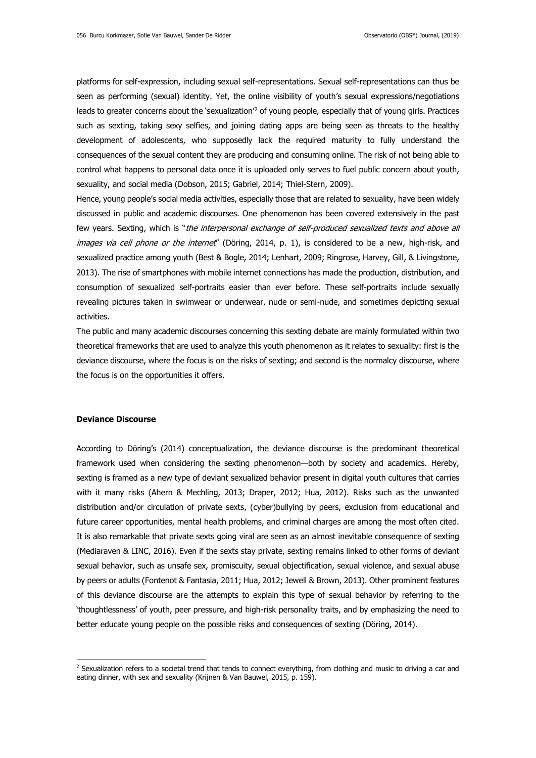platforms for self-expression, including sexual self-representations. Sexual self-representations can thus be seen as performing (sexual) identity. Yet, the online visibility of youth's sexual expressions/negotiations leads to greater concerns about the 'sexualization'<sup>2</sup> of young people, especially that of young girls. Practices such as sexting, taking sexy selfies, and joining dating apps are being seen as threats to the healthy development of adolescents, who supposedly lack the required maturity to fully understand the consequences of the sexual content they are producing and consuming online. The risk of not being able to control what happens to personal data once it is uploaded only serves to fuel public concern about youth, sexuality, and social media (Dobson, 2015; Gabriel, 2014; Thiel-Stern, 2009).

Hence, young people's social media activities, especially those that are related to sexuality, have been widely discussed in public and academic discourses. One phenomenon has been covered extensively in the past few years. Sexting, which is "the interpersonal exchange of self-produced sexualized texts and above all images via cell phone or the internet" (Döring, 2014, p. 1), is considered to be a new, high-risk, and sexualized practice among youth (Best & Bogle, 2014; Lenhart, 2009; Ringrose, Harvey, Gill, & Livingstone, 2013). The rise of smartphones with mobile internet connections has made the production, distribution, and consumption of sexualized self-portraits easier than ever before. These self-portraits include sexually revealing pictures taken in swimwear or underwear, nude or semi-nude, and sometimes depicting sexual activities.

The public and many academic discourses concerning this sexting debate are mainly formulated within two theoretical frameworks that are used to analyze this youth phenomenon as it relates to sexuality: first is the deviance discourse, where the focus is on the risks of sexting; and second is the normalcy discourse, where the focus is on the opportunities it offers.

#### **Deviance Discourse**

**.** 

According to Döring's (2014) conceptualization, the deviance discourse is the predominant theoretical framework used when considering the sexting phenomenon—both by society and academics. Hereby, sexting is framed as a new type of deviant sexualized behavior present in digital youth cultures that carries with it many risks (Ahern & Mechling, 2013; Draper, 2012; Hua, 2012). Risks such as the unwanted distribution and/or circulation of private sexts, (cyber)bullying by peers, exclusion from educational and future career opportunities, mental health problems, and criminal charges are among the most often cited. It is also remarkable that private sexts going viral are seen as an almost inevitable consequence of sexting (Mediaraven & LINC, 2016). Even if the sexts stay private, sexting remains linked to other forms of deviant sexual behavior, such as unsafe sex, promiscuity, sexual objectification, sexual violence, and sexual abuse by peers or adults (Fontenot & Fantasia, 2011; Hua, 2012; Jewell & Brown, 2013). Other prominent features of this deviance discourse are the attempts to explain this type of sexual behavior by referring to the 'thoughtlessness' of youth, peer pressure, and high-risk personality traits, and by emphasizing the need to better educate young people on the possible risks and consequences of sexting (Döring, 2014).

 $2$  Sexualization refers to a societal trend that tends to connect everything, from clothing and music to driving a car and eating dinner, with sex and sexuality (Krijnen & Van Bauwel, 2015, p. 159).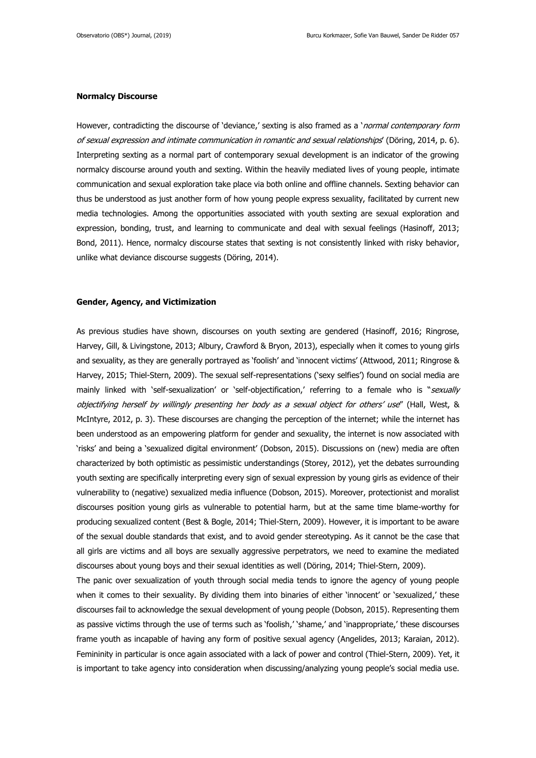## **Normalcy Discourse**

However, contradicting the discourse of 'deviance,' sexting is also framed as a '*normal contemporary form* of sexual expression and intimate communication in romantic and sexual relationships' (Döring, 2014, p. 6). Interpreting sexting as a normal part of contemporary sexual development is an indicator of the growing normalcy discourse around youth and sexting. Within the heavily mediated lives of young people, intimate communication and sexual exploration take place via both online and offline channels. Sexting behavior can thus be understood as just another form of how young people express sexuality, facilitated by current new media technologies. Among the opportunities associated with youth sexting are sexual exploration and expression, bonding, trust, and learning to communicate and deal with sexual feelings (Hasinoff, 2013; Bond, 2011). Hence, normalcy discourse states that sexting is not consistently linked with risky behavior, unlike what deviance discourse suggests (Döring, 2014).

#### **Gender, Agency, and Victimization**

As previous studies have shown, discourses on youth sexting are gendered (Hasinoff, 2016; Ringrose, Harvey, Gill, & Livingstone, 2013; Albury, Crawford & Bryon, 2013), especially when it comes to young girls and sexuality, as they are generally portrayed as 'foolish' and 'innocent victims' (Attwood, 2011; Ringrose & Harvey, 2015; Thiel-Stern, 2009). The sexual self-representations ('sexy selfies') found on social media are mainly linked with 'self-sexualization' or 'self-objectification,' referring to a female who is "sexually objectifying herself by willingly presenting her body as a sexual object for others' use" (Hall, West, & McIntyre, 2012, p. 3). These discourses are changing the perception of the internet; while the internet has been understood as an empowering platform for gender and sexuality, the internet is now associated with 'risks' and being a 'sexualized digital environment' (Dobson, 2015). Discussions on (new) media are often characterized by both optimistic as pessimistic understandings (Storey, 2012), yet the debates surrounding youth sexting are specifically interpreting every sign of sexual expression by young girls as evidence of their vulnerability to (negative) sexualized media influence (Dobson, 2015). Moreover, protectionist and moralist discourses position young girls as vulnerable to potential harm, but at the same time blame-worthy for producing sexualized content (Best & Bogle, 2014; Thiel-Stern, 2009). However, it is important to be aware of the sexual double standards that exist, and to avoid gender stereotyping. As it cannot be the case that all girls are victims and all boys are sexually aggressive perpetrators, we need to examine the mediated discourses about young boys and their sexual identities as well (Döring, 2014; Thiel-Stern, 2009).

The panic over sexualization of youth through social media tends to ignore the agency of young people when it comes to their sexuality. By dividing them into binaries of either 'innocent' or 'sexualized,' these discourses fail to acknowledge the sexual development of young people (Dobson, 2015). Representing them as passive victims through the use of terms such as 'foolish,' 'shame,' and 'inappropriate,' these discourses frame youth as incapable of having any form of positive sexual agency (Angelides, 2013; Karaian, 2012). Femininity in particular is once again associated with a lack of power and control (Thiel-Stern, 2009). Yet, it is important to take agency into consideration when discussing/analyzing young people's social media use.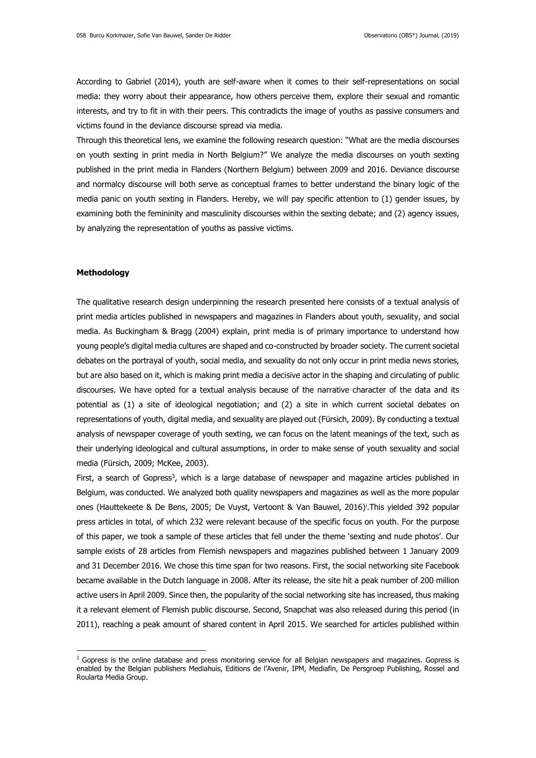According to Gabriel (2014), youth are self-aware when it comes to their self-representations on social media: they worry about their appearance, how others perceive them, explore their sexual and romantic interests, and try to fit in with their peers. This contradicts the image of youths as passive consumers and victims found in the deviance discourse spread via media.

Through this theoretical lens, we examine the following research question: "What are the media discourses on youth sexting in print media in North Belgium?" We analyze the media discourses on youth sexting published in the print media in Flanders (Northern Belgium) between 2009 and 2016. Deviance discourse and normalcy discourse will both serve as conceptual frames to better understand the binary logic of the media panic on youth sexting in Flanders. Hereby, we will pay specific attention to (1) gender issues, by examining both the femininity and masculinity discourses within the sexting debate; and (2) agency issues, by analyzing the representation of youths as passive victims.

#### **Methodology**

1

The qualitative research design underpinning the research presented here consists of a textual analysis of print media articles published in newspapers and magazines in Flanders about youth, sexuality, and social media. As Buckingham & Bragg (2004) explain, print media is of primary importance to understand how young people's digital media cultures are shaped and co-constructed by broader society. The current societal debates on the portrayal of youth, social media, and sexuality do not only occur in print media news stories, but are also based on it, which is making print media a decisive actor in the shaping and circulating of public discourses. We have opted for a textual analysis because of the narrative character of the data and its potential as (1) a site of ideological negotiation; and (2) a site in which current societal debates on representations of youth, digital media, and sexuality are played out (Fürsich, 2009). By conducting a textual analysis of newspaper coverage of youth sexting, we can focus on the latent meanings of the text, such as their underlying ideological and cultural assumptions, in order to make sense of youth sexuality and social media (Fürsich, 2009; McKee, 2003).

First, a search of Gopress<sup>3</sup>, which is a large database of newspaper and magazine articles published in Belgium, was conducted. We analyzed both quality newspapers and magazines as well as the more popular ones (Hauttekeete & De Bens, 2005; De Vuyst, Vertoont & Van Bauwel, 2016)<sup>i</sup> .This yielded 392 popular press articles in total, of which 232 were relevant because of the specific focus on youth. For the purpose of this paper, we took a sample of these articles that fell under the theme 'sexting and nude photos'. Our sample exists of 28 articles from Flemish newspapers and magazines published between 1 January 2009 and 31 December 2016. We chose this time span for two reasons. First, the social networking site Facebook became available in the Dutch language in 2008. After its release, the site hit a peak number of 200 million active users in April 2009. Since then, the popularity of the social networking site has increased, thus making it a relevant element of Flemish public discourse. Second, Snapchat was also released during this period (in 2011), reaching a peak amount of shared content in April 2015. We searched for articles published within

 $3$  Gopress is the online database and press monitoring service for all Belgian newspapers and magazines. Gopress is enabled by the Belgian publishers Mediahuis, Editions de l'Avenir, IPM, Mediafin, De Persgroep Publishing, Rossel and Roularta Media Group.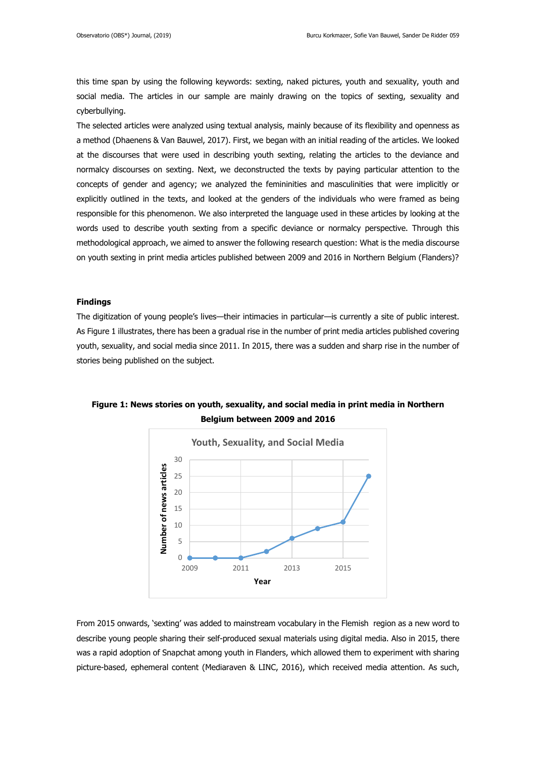this time span by using the following keywords: sexting, naked pictures, youth and sexuality, youth and social media. The articles in our sample are mainly drawing on the topics of sexting, sexuality and cyberbullying.

The selected articles were analyzed using textual analysis, mainly because of its flexibility and openness as a method (Dhaenens & Van Bauwel, 2017). First, we began with an initial reading of the articles. We looked at the discourses that were used in describing youth sexting, relating the articles to the deviance and normalcy discourses on sexting. Next, we deconstructed the texts by paying particular attention to the concepts of gender and agency; we analyzed the femininities and masculinities that were implicitly or explicitly outlined in the texts, and looked at the genders of the individuals who were framed as being responsible for this phenomenon. We also interpreted the language used in these articles by looking at the words used to describe youth sexting from a specific deviance or normalcy perspective. Through this methodological approach, we aimed to answer the following research question: What is the media discourse on youth sexting in print media articles published between 2009 and 2016 in Northern Belgium (Flanders)?

## **Findings**

The digitization of young people's lives—their intimacies in particular—is currently a site of public interest. As Figure 1 illustrates, there has been a gradual rise in the number of print media articles published covering youth, sexuality, and social media since 2011. In 2015, there was a sudden and sharp rise in the number of stories being published on the subject.



**Figure 1: News stories on youth, sexuality, and social media in print media in Northern Belgium between 2009 and 2016**

From 2015 onwards, 'sexting' was added to mainstream vocabulary in the Flemish region as a new word to describe young people sharing their self-produced sexual materials using digital media. Also in 2015, there was a rapid adoption of Snapchat among youth in Flanders, which allowed them to experiment with sharing picture-based, ephemeral content (Mediaraven & LINC, 2016), which received media attention. As such,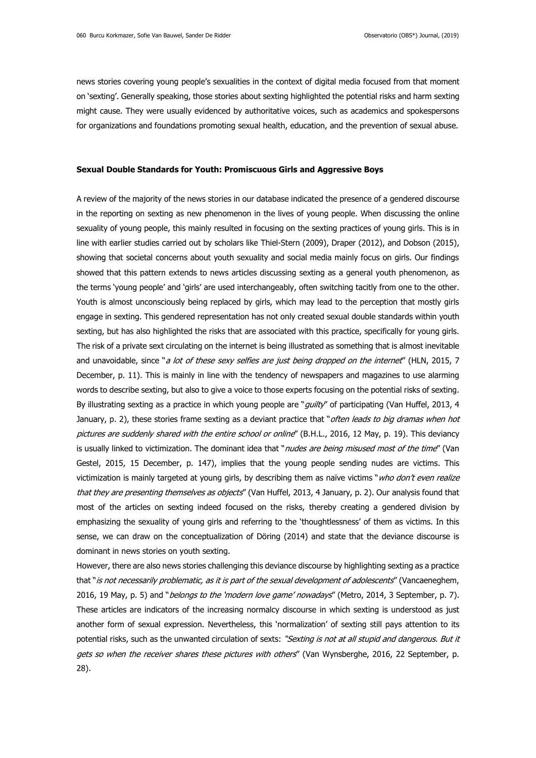news stories covering young people's sexualities in the context of digital media focused from that moment on 'sexting'. Generally speaking, those stories about sexting highlighted the potential risks and harm sexting might cause. They were usually evidenced by authoritative voices, such as academics and spokespersons for organizations and foundations promoting sexual health, education, and the prevention of sexual abuse.

#### **Sexual Double Standards for Youth: Promiscuous Girls and Aggressive Boys**

A review of the majority of the news stories in our database indicated the presence of a gendered discourse in the reporting on sexting as new phenomenon in the lives of young people. When discussing the online sexuality of young people, this mainly resulted in focusing on the sexting practices of young girls. This is in line with earlier studies carried out by scholars like Thiel-Stern (2009), Draper (2012), and Dobson (2015), showing that societal concerns about youth sexuality and social media mainly focus on girls. Our findings showed that this pattern extends to news articles discussing sexting as a general youth phenomenon, as the terms 'young people' and 'girls' are used interchangeably, often switching tacitly from one to the other. Youth is almost unconsciously being replaced by girls, which may lead to the perception that mostly girls engage in sexting. This gendered representation has not only created sexual double standards within youth sexting, but has also highlighted the risks that are associated with this practice, specifically for young girls. The risk of a private sext circulating on the internet is being illustrated as something that is almost inevitable and unavoidable, since "*a lot of these sexy selfies are just being dropped on the internet"* (HLN, 2015, 7 December, p. 11). This is mainly in line with the tendency of newspapers and magazines to use alarming words to describe sexting, but also to give a voice to those experts focusing on the potential risks of sexting. By illustrating sexting as a practice in which young people are "*guilty*" of participating (Van Huffel, 2013, 4 January, p. 2), these stories frame sexting as a deviant practice that "often leads to big dramas when hot pictures are suddenly shared with the entire school or online" (B.H.L., 2016, 12 May, p. 19). This deviancy is usually linked to victimization. The dominant idea that "nudes are being misused most of the time" (Van Gestel, 2015, 15 December, p. 147), implies that the young people sending nudes are victims. This victimization is mainly targeted at young girls, by describing them as naïve victims "who don't even realize that they are presenting themselves as objects" (Van Huffel, 2013, 4 January, p. 2). Our analysis found that most of the articles on sexting indeed focused on the risks, thereby creating a gendered division by emphasizing the sexuality of young girls and referring to the 'thoughtlessness' of them as victims. In this sense, we can draw on the conceptualization of Döring (2014) and state that the deviance discourse is dominant in news stories on youth sexting.

However, there are also news stories challenging this deviance discourse by highlighting sexting as a practice that "is not necessarily problematic, as it is part of the sexual development of adolescents" (Vancaeneghem, 2016, 19 May, p. 5) and "*belongs to the 'modern love game' nowadays*" (Metro, 2014, 3 September, p. 7). These articles are indicators of the increasing normalcy discourse in which sexting is understood as just another form of sexual expression. Nevertheless, this 'normalization' of sexting still pays attention to its potential risks, such as the unwanted circulation of sexts: "Sexting is not at all stupid and dangerous. But it gets so when the receiver shares these pictures with others" (Van Wynsberghe, 2016, 22 September, p. 28).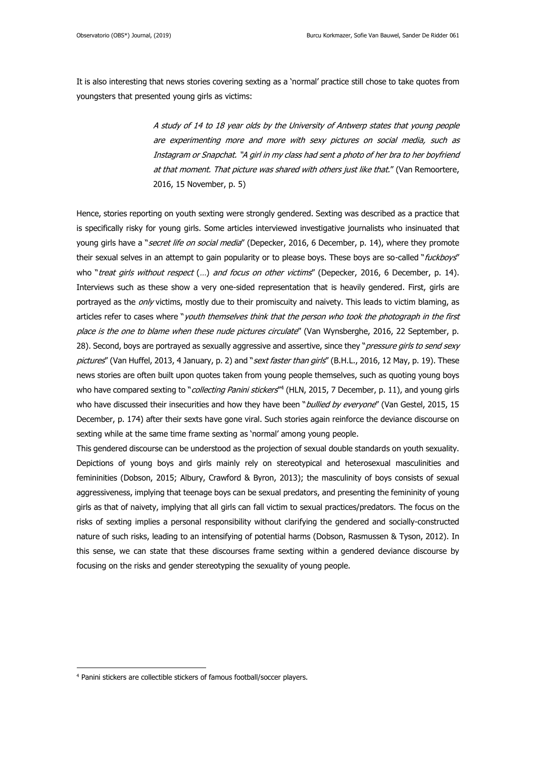It is also interesting that news stories covering sexting as a 'normal' practice still chose to take quotes from youngsters that presented young girls as victims:

> A study of 14 to 18 year olds by the University of Antwerp states that young people are experimenting more and more with sexy pictures on social media, such as Instagram or Snapchat. "A girl in my class had sent a photo of her bra to her boyfriend at that moment. That picture was shared with others just like that." (Van Remoortere, 2016, 15 November, p. 5)

Hence, stories reporting on youth sexting were strongly gendered. Sexting was described as a practice that is specifically risky for young girls. Some articles interviewed investigative journalists who insinuated that young girls have a "*secret life on social media"* (Depecker, 2016, 6 December, p. 14), where they promote their sexual selves in an attempt to gain popularity or to please boys. These boys are so-called "fuckboys" who "treat girls without respect (...) and focus on other victims" (Depecker, 2016, 6 December, p. 14). Interviews such as these show a very one-sided representation that is heavily gendered. First, girls are portrayed as the *only* victims, mostly due to their promiscuity and naivety. This leads to victim blaming, as articles refer to cases where "youth themselves think that the person who took the photograph in the first place is the one to blame when these nude pictures circulate" (Van Wynsberghe, 2016, 22 September, p. 28). Second, boys are portrayed as sexually aggressive and assertive, since they "*pressure girls to send sexy* pictures" (Van Huffel, 2013, 4 January, p. 2) and "sext faster than girls" (B.H.L., 2016, 12 May, p. 19). These news stories are often built upon quotes taken from young people themselves, such as quoting young boys who have compared sexting to "*collecting Panini stickers*"<sup>4</sup> (HLN, 2015, 7 December, p. 11), and young girls who have discussed their insecurities and how they have been "bullied by everyone" (Van Gestel, 2015, 15 December, p. 174) after their sexts have gone viral. Such stories again reinforce the deviance discourse on sexting while at the same time frame sexting as 'normal' among young people.

This gendered discourse can be understood as the projection of sexual double standards on youth sexuality. Depictions of young boys and girls mainly rely on stereotypical and heterosexual masculinities and femininities (Dobson, 2015; Albury, Crawford & Byron, 2013); the masculinity of boys consists of sexual aggressiveness, implying that teenage boys can be sexual predators, and presenting the femininity of young girls as that of naivety, implying that all girls can fall victim to sexual practices/predators. The focus on the risks of sexting implies a personal responsibility without clarifying the gendered and socially-constructed nature of such risks, leading to an intensifying of potential harms (Dobson, Rasmussen & Tyson, 2012). In this sense, we can state that these discourses frame sexting within a gendered deviance discourse by focusing on the risks and gender stereotyping the sexuality of young people.

**.** 

<sup>4</sup> Panini stickers are collectible stickers of famous football/soccer players.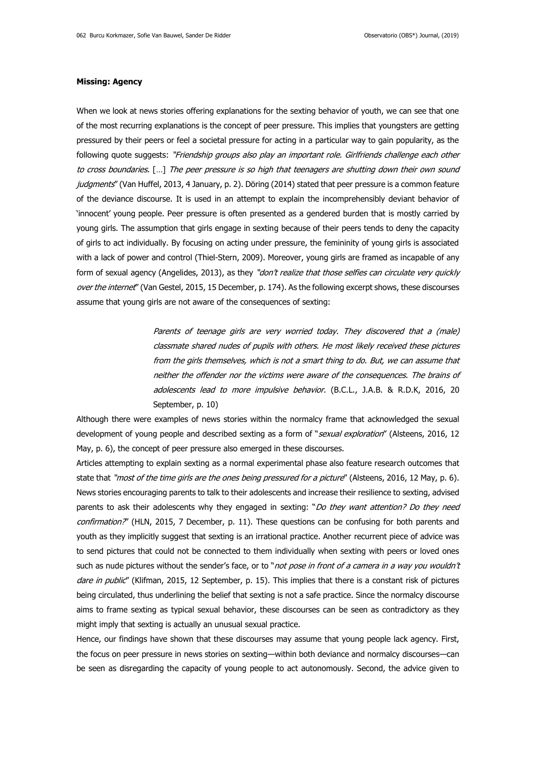## **Missing: Agency**

When we look at news stories offering explanations for the sexting behavior of youth, we can see that one of the most recurring explanations is the concept of peer pressure. This implies that youngsters are getting pressured by their peers or feel a societal pressure for acting in a particular way to gain popularity, as the following quote suggests: "Friendship groups also play an important role. Girlfriends challenge each other to cross boundaries. […] The peer pressure is so high that teenagers are shutting down their own sound judgments" (Van Huffel, 2013, 4 January, p. 2). Döring (2014) stated that peer pressure is a common feature of the deviance discourse. It is used in an attempt to explain the incomprehensibly deviant behavior of 'innocent' young people. Peer pressure is often presented as a gendered burden that is mostly carried by young girls. The assumption that girls engage in sexting because of their peers tends to deny the capacity of girls to act individually. By focusing on acting under pressure, the femininity of young girls is associated with a lack of power and control (Thiel-Stern, 2009). Moreover, young girls are framed as incapable of any form of sexual agency (Angelides, 2013), as they "don't realize that those selfies can circulate very quickly over the internet" (Van Gestel, 2015, 15 December, p. 174). As the following excerpt shows, these discourses assume that young girls are not aware of the consequences of sexting:

> Parents of teenage girls are very worried today. They discovered that a (male) classmate shared nudes of pupils with others. He most likely received these pictures from the girls themselves, which is not a smart thing to do. But, we can assume that neither the offender nor the victims were aware of the consequences. The brains of adolescents lead to more impulsive behavior. (B.C.L., J.A.B. & R.D.K, 2016, 20 September, p. 10)

Although there were examples of news stories within the normalcy frame that acknowledged the sexual development of young people and described sexting as a form of "sexual exploration" (Alsteens, 2016, 12 May, p. 6), the concept of peer pressure also emerged in these discourses.

Articles attempting to explain sexting as a normal experimental phase also feature research outcomes that state that "most of the time girls are the ones being pressured for a picture" (Alsteens, 2016, 12 May, p. 6). News stories encouraging parents to talk to their adolescents and increase their resilience to sexting, advised parents to ask their adolescents why they engaged in sexting: "Do they want attention? Do they need confirmation?" (HLN, 2015, 7 December, p. 11). These questions can be confusing for both parents and youth as they implicitly suggest that sexting is an irrational practice. Another recurrent piece of advice was to send pictures that could not be connected to them individually when sexting with peers or loved ones such as nude pictures without the sender's face, or to "not pose in front of a camera in a way you wouldn't dare in public" (Klifman, 2015, 12 September, p. 15). This implies that there is a constant risk of pictures being circulated, thus underlining the belief that sexting is not a safe practice. Since the normalcy discourse aims to frame sexting as typical sexual behavior, these discourses can be seen as contradictory as they might imply that sexting is actually an unusual sexual practice.

Hence, our findings have shown that these discourses may assume that young people lack agency. First, the focus on peer pressure in news stories on sexting—within both deviance and normalcy discourses—can be seen as disregarding the capacity of young people to act autonomously. Second, the advice given to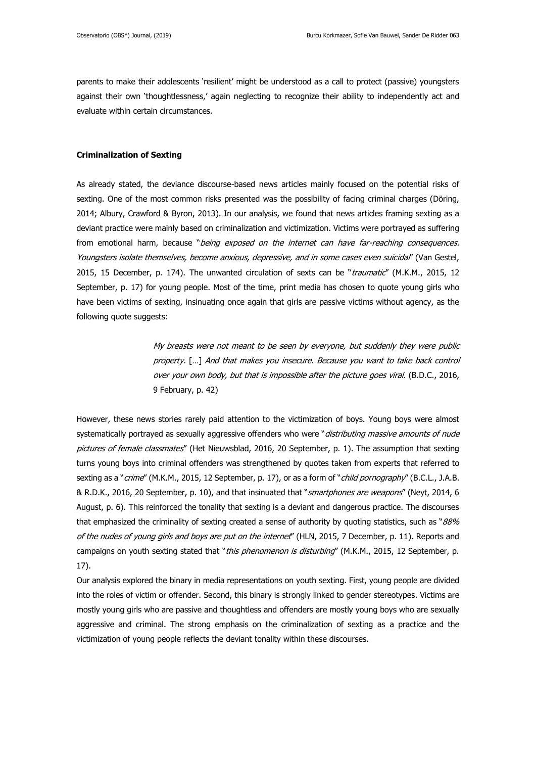parents to make their adolescents 'resilient' might be understood as a call to protect (passive) youngsters against their own 'thoughtlessness,' again neglecting to recognize their ability to independently act and evaluate within certain circumstances.

## **Criminalization of Sexting**

As already stated, the deviance discourse-based news articles mainly focused on the potential risks of sexting. One of the most common risks presented was the possibility of facing criminal charges (Döring, 2014; Albury, Crawford & Byron, 2013). In our analysis, we found that news articles framing sexting as a deviant practice were mainly based on criminalization and victimization. Victims were portrayed as suffering from emotional harm, because "being exposed on the internet can have far-reaching consequences. Youngsters isolate themselves, become anxious, depressive, and in some cases even suicidal" (Van Gestel, 2015, 15 December, p. 174). The unwanted circulation of sexts can be "*traumatic"* (M.K.M., 2015, 12 September, p. 17) for young people. Most of the time, print media has chosen to quote young girls who have been victims of sexting, insinuating once again that girls are passive victims without agency, as the following quote suggests:

> My breasts were not meant to be seen by everyone, but suddenly they were public property. […] And that makes you insecure. Because you want to take back control over your own body, but that is impossible after the picture goes viral. (B.D.C., 2016, 9 February, p. 42)

However, these news stories rarely paid attention to the victimization of boys. Young boys were almost systematically portrayed as sexually aggressive offenders who were "distributing massive amounts of nude pictures of female classmates" (Het Nieuwsblad, 2016, 20 September, p. 1). The assumption that sexting turns young boys into criminal offenders was strengthened by quotes taken from experts that referred to sexting as a "*crime*" (M.K.M., 2015, 12 September, p. 17), or as a form of "*child pornography*" (B.C.L., J.A.B. & R.D.K., 2016, 20 September, p. 10), and that insinuated that "smartphones are weapons" (Neyt, 2014, 6 August, p. 6). This reinforced the tonality that sexting is a deviant and dangerous practice. The discourses that emphasized the criminality of sexting created a sense of authority by quoting statistics, such as " $88\%$ of the nudes of young girls and boys are put on the internet" (HLN, 2015, 7 December, p. 11). Reports and campaigns on youth sexting stated that "this phenomenon is disturbing" (M.K.M., 2015, 12 September, p. 17).

Our analysis explored the binary in media representations on youth sexting. First, young people are divided into the roles of victim or offender. Second, this binary is strongly linked to gender stereotypes. Victims are mostly young girls who are passive and thoughtless and offenders are mostly young boys who are sexually aggressive and criminal. The strong emphasis on the criminalization of sexting as a practice and the victimization of young people reflects the deviant tonality within these discourses.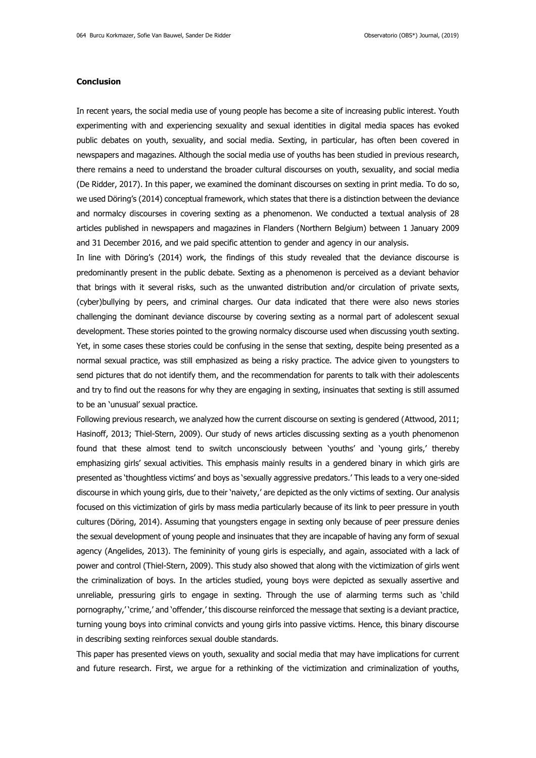## **Conclusion**

In recent years, the social media use of young people has become a site of increasing public interest. Youth experimenting with and experiencing sexuality and sexual identities in digital media spaces has evoked public debates on youth, sexuality, and social media. Sexting, in particular, has often been covered in newspapers and magazines. Although the social media use of youths has been studied in previous research, there remains a need to understand the broader cultural discourses on youth, sexuality, and social media (De Ridder, 2017). In this paper, we examined the dominant discourses on sexting in print media. To do so, we used Döring's (2014) conceptual framework, which states that there is a distinction between the deviance and normalcy discourses in covering sexting as a phenomenon. We conducted a textual analysis of 28 articles published in newspapers and magazines in Flanders (Northern Belgium) between 1 January 2009 and 31 December 2016, and we paid specific attention to gender and agency in our analysis.

In line with Döring's (2014) work, the findings of this study revealed that the deviance discourse is predominantly present in the public debate. Sexting as a phenomenon is perceived as a deviant behavior that brings with it several risks, such as the unwanted distribution and/or circulation of private sexts, (cyber)bullying by peers, and criminal charges. Our data indicated that there were also news stories challenging the dominant deviance discourse by covering sexting as a normal part of adolescent sexual development. These stories pointed to the growing normalcy discourse used when discussing youth sexting. Yet, in some cases these stories could be confusing in the sense that sexting, despite being presented as a normal sexual practice, was still emphasized as being a risky practice. The advice given to youngsters to send pictures that do not identify them, and the recommendation for parents to talk with their adolescents and try to find out the reasons for why they are engaging in sexting, insinuates that sexting is still assumed to be an 'unusual' sexual practice.

Following previous research, we analyzed how the current discourse on sexting is gendered (Attwood, 2011; Hasinoff, 2013; Thiel-Stern, 2009). Our study of news articles discussing sexting as a youth phenomenon found that these almost tend to switch unconsciously between 'youths' and 'young girls,' thereby emphasizing girls' sexual activities. This emphasis mainly results in a gendered binary in which girls are presented as 'thoughtless victims' and boys as 'sexually aggressive predators.' This leads to a very one-sided discourse in which young girls, due to their 'naivety,' are depicted as the only victims of sexting. Our analysis focused on this victimization of girls by mass media particularly because of its link to peer pressure in youth cultures (Döring, 2014). Assuming that youngsters engage in sexting only because of peer pressure denies the sexual development of young people and insinuates that they are incapable of having any form of sexual agency (Angelides, 2013). The femininity of young girls is especially, and again, associated with a lack of power and control (Thiel-Stern, 2009). This study also showed that along with the victimization of girls went the criminalization of boys. In the articles studied, young boys were depicted as sexually assertive and unreliable, pressuring girls to engage in sexting. Through the use of alarming terms such as 'child pornography,' 'crime,' and 'offender,' this discourse reinforced the message that sexting is a deviant practice, turning young boys into criminal convicts and young girls into passive victims. Hence, this binary discourse in describing sexting reinforces sexual double standards.

This paper has presented views on youth, sexuality and social media that may have implications for current and future research. First, we argue for a rethinking of the victimization and criminalization of youths,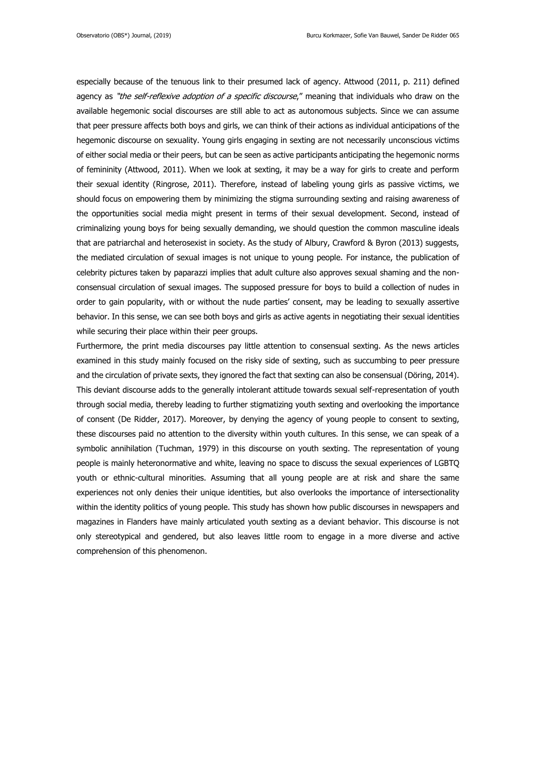especially because of the tenuous link to their presumed lack of agency. Attwood (2011, p. 211) defined agency as "the self-reflexive adoption of a specific discourse," meaning that individuals who draw on the available hegemonic social discourses are still able to act as autonomous subjects. Since we can assume that peer pressure affects both boys and girls, we can think of their actions as individual anticipations of the hegemonic discourse on sexuality. Young girls engaging in sexting are not necessarily unconscious victims of either social media or their peers, but can be seen as active participants anticipating the hegemonic norms of femininity (Attwood, 2011). When we look at sexting, it may be a way for girls to create and perform their sexual identity (Ringrose, 2011). Therefore, instead of labeling young girls as passive victims, we should focus on empowering them by minimizing the stigma surrounding sexting and raising awareness of the opportunities social media might present in terms of their sexual development. Second, instead of criminalizing young boys for being sexually demanding, we should question the common masculine ideals that are patriarchal and heterosexist in society. As the study of Albury, Crawford & Byron (2013) suggests, the mediated circulation of sexual images is not unique to young people. For instance, the publication of celebrity pictures taken by paparazzi implies that adult culture also approves sexual shaming and the nonconsensual circulation of sexual images. The supposed pressure for boys to build a collection of nudes in order to gain popularity, with or without the nude parties' consent, may be leading to sexually assertive behavior. In this sense, we can see both boys and girls as active agents in negotiating their sexual identities while securing their place within their peer groups.

Furthermore, the print media discourses pay little attention to consensual sexting. As the news articles examined in this study mainly focused on the risky side of sexting, such as succumbing to peer pressure and the circulation of private sexts, they ignored the fact that sexting can also be consensual (Döring, 2014). This deviant discourse adds to the generally intolerant attitude towards sexual self-representation of youth through social media, thereby leading to further stigmatizing youth sexting and overlooking the importance of consent (De Ridder, 2017). Moreover, by denying the agency of young people to consent to sexting, these discourses paid no attention to the diversity within youth cultures. In this sense, we can speak of a symbolic annihilation (Tuchman, 1979) in this discourse on youth sexting. The representation of young people is mainly heteronormative and white, leaving no space to discuss the sexual experiences of LGBTQ youth or ethnic-cultural minorities. Assuming that all young people are at risk and share the same experiences not only denies their unique identities, but also overlooks the importance of intersectionality within the identity politics of young people. This study has shown how public discourses in newspapers and magazines in Flanders have mainly articulated youth sexting as a deviant behavior. This discourse is not only stereotypical and gendered, but also leaves little room to engage in a more diverse and active comprehension of this phenomenon.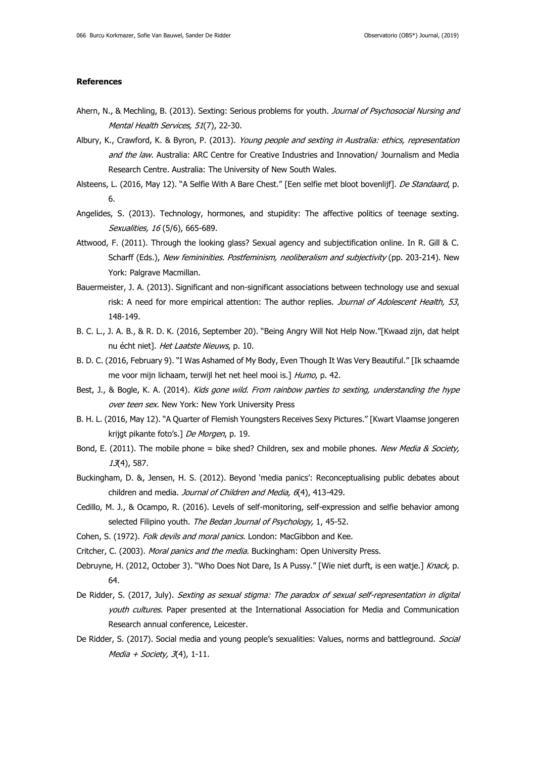## **References**

- Ahern, N., & Mechling, B. (2013). Sexting: Serious problems for youth. Journal of Psychosocial Nursing and Mental Health Services, 51(7), 22-30.
- Albury, K., Crawford, K. & Byron, P. (2013). Young people and sexting in Australia: ethics, representation and the law. Australia: ARC Centre for Creative Industries and Innovation/ Journalism and Media Research Centre. Australia: The University of New South Wales.
- Alsteens, L. (2016, May 12). "A Selfie With A Bare Chest." [Een selfie met bloot bovenlijf]. De Standaard, p. 6.
- Angelides, S. (2013). Technology, hormones, and stupidity: The affective politics of teenage sexting. Sexualities, 16 (5/6), 665-689.
- Attwood, F. (2011). Through the looking glass? Sexual agency and subjectification online. In R. Gill & C. Scharff (Eds.), New femininities. Postfeminism, neoliberalism and subjectivity (pp. 203-214). New York: Palgrave Macmillan.
- Bauermeister, J. A. (2013). Significant and non-significant associations between technology use and sexual risk: A need for more empirical attention: The author replies. Journal of Adolescent Health, 53, 148-149.
- B. C. L., J. A. B., & R. D. K. (2016, September 20). "Being Angry Will Not Help Now."[Kwaad zijn, dat helpt nu écht niet]. Het Laatste Nieuws, p. 10.
- B. D. C. (2016, February 9). "I Was Ashamed of My Body, Even Though It Was Very Beautiful." [Ik schaamde me voor mijn lichaam, terwijl het net heel mooi is.] Humo, p. 42.
- Best, J., & Bogle, K. A. (2014). Kids gone wild. From rainbow parties to sexting, understanding the hype over teen sex. New York: New York University Press
- B. H. L. (2016, May 12). "A Quarter of Flemish Youngsters Receives Sexy Pictures." [Kwart Vlaamse jongeren krijgt pikante foto's.] De Morgen, p. 19.
- Bond, E. (2011). The mobile phone = bike shed? Children, sex and mobile phones. New Media & Society, 13(4), 587.
- Buckingham, D. &, Jensen, H. S. (2012). Beyond 'media panics': Reconceptualising public debates about children and media. Journal of Children and Media, 6(4), 413-429.
- Cedillo, M. J., & Ocampo, R. (2016). Levels of self-monitoring, self-expression and selfie behavior among selected Filipino youth. The Bedan Journal of Psychology, 1, 45-52.
- Cohen, S. (1972). Folk devils and moral panics. London: MacGibbon and Kee.
- Critcher, C. (2003). Moral panics and the media. Buckingham: Open University Press.
- Debruyne, H. (2012, October 3). "Who Does Not Dare, Is A Pussy." [Wie niet durft, is een watje.] Knack, p. 64.
- De Ridder, S. (2017, July). Sexting as sexual stigma: The paradox of sexual self-representation in digital youth cultures. Paper presented at the International Association for Media and Communication Research annual conference, Leicester.
- De Ridder, S. (2017). Social media and young people's sexualities: Values, norms and battleground. Social Media + Society,  $3(4)$ , 1-11.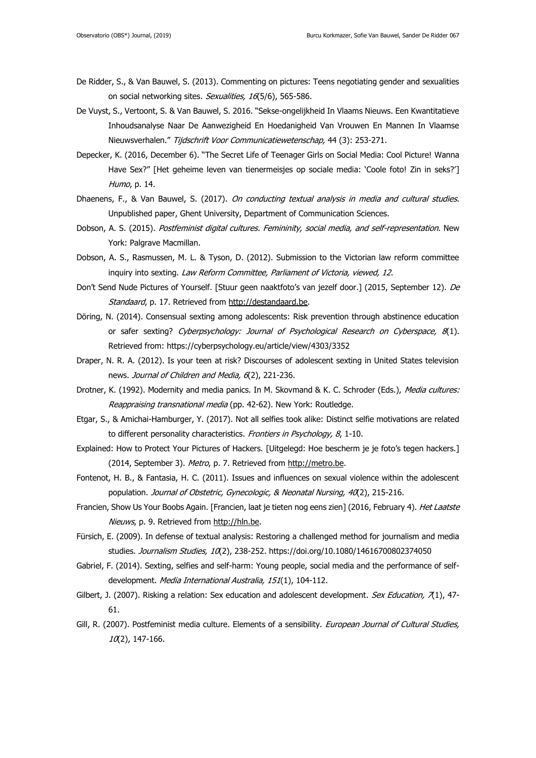- De Ridder, S., & Van Bauwel, S. (2013). Commenting on pictures: Teens negotiating gender and sexualities on social networking sites. Sexualities, 16(5/6), 565-586.
- De Vuyst, S., Vertoont, S. & Van Bauwel, S. 2016. "Sekse-ongelijkheid In Vlaams Nieuws. Een Kwantitatieve Inhoudsanalyse Naar De Aanwezigheid En Hoedanigheid Van Vrouwen En Mannen In Vlaamse Nieuwsverhalen." Tijdschrift Voor Communicatiewetenschap, 44 (3): 253-271.
- Depecker, K. (2016, December 6). "The Secret Life of Teenager Girls on Social Media: Cool Picture! Wanna Have Sex?" [Het geheime leven van tienermeisjes op sociale media: 'Coole foto! Zin in seks?'] Humo, p. 14.
- Dhaenens, F., & Van Bauwel, S. (2017). On conducting textual analysis in media and cultural studies. Unpublished paper, Ghent University, Department of Communication Sciences.
- Dobson, A. S. (2015). Postfeminist digital cultures. Femininity, social media, and self-representation. New York: Palgrave Macmillan.
- Dobson, A. S., Rasmussen, M. L. & Tyson, D. (2012). Submission to the Victorian law reform committee inquiry into sexting. Law Reform Committee, Parliament of Victoria, viewed, 12.
- Don't Send Nude Pictures of Yourself. [Stuur geen naaktfoto's van jezelf door.] (2015, September 12). De Standaard, p. 17. Retrieved from [http://destandaard.be.](http://destandaard.be/)
- Döring, N. (2014). Consensual sexting among adolescents: Risk prevention through abstinence education or safer sexting? Cyberpsychology: Journal of Psychological Research on Cyberspace, 8(1). Retrieved from: https://cyberpsychology.eu/article/view/4303/3352
- Draper, N. R. A. (2012). Is your teen at risk? Discourses of adolescent sexting in United States television news. Journal of Children and Media, 6(2), 221-236.
- Drotner, K. (1992). Modernity and media panics. In M. Skovmand & K. C. Schroder (Eds.), Media cultures: Reappraising transnational media (pp. 42-62). New York: Routledge.
- Etgar, S., & Amichai-Hamburger, Y. (2017). Not all selfies took alike: Distinct selfie motivations are related to different personality characteristics. Frontiers in Psychology, 8, 1-10.
- Explained: How to Protect Your Pictures of Hackers. [Uitgelegd: Hoe bescherm je je foto's tegen hackers.] (2014, September 3). Metro, p. 7. Retrieved from [http://metro.be.](http://metro.be/)
- Fontenot, H. B., & Fantasia, H. C. (2011). Issues and influences on sexual violence within the adolescent population. Journal of Obstetric, Gynecologic, & Neonatal Nursing, 40(2), 215-216.
- Francien, Show Us Your Boobs Again. [Francien, laat je tieten nog eens zien] (2016, February 4). Het Laatste Nieuws, p. 9. Retrieved from [http://hln.be.](http://hln.be/)
- Fürsich, E. (2009). In defense of textual analysis: Restoring a challenged method for journalism and media studies. Journalism Studies, 10(2), 238-252. https://doi.org/10.1080/14616700802374050
- Gabriel, F. (2014). Sexting, selfies and self-harm: Young people, social media and the performance of selfdevelopment. Media International Australia, 151(1), 104-112.
- Gilbert, J. (2007). Risking a relation: Sex education and adolescent development. Sex Education, 7(1), 47-61.
- Gill, R. (2007). Postfeminist media culture. Elements of a sensibility. European Journal of Cultural Studies,  $10(2)$ , 147-166.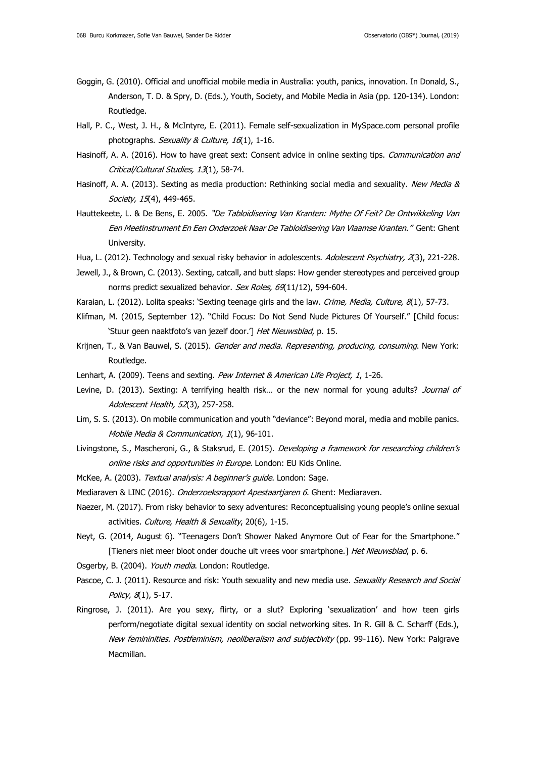- Goggin, G. (2010). Official and unofficial mobile media in Australia: youth, panics, innovation. In Donald, S., Anderson, T. D. & Spry, D. (Eds.), Youth, Society, and Mobile Media in Asia (pp. 120-134). London: Routledge.
- Hall, P. C., West, J. H., & McIntyre, E. (2011). Female self-sexualization in MySpace.com personal profile photographs. Sexuality & Culture, 16(1), 1-16.
- Hasinoff, A. A. (2016). How to have great sext: Consent advice in online sexting tips. Communication and Critical/Cultural Studies, 13(1), 58-74.
- Hasinoff, A. A. (2013). Sexting as media production: Rethinking social media and sexuality. New Media & Society, 15(4), 449-465.
- Hauttekeete, L. & De Bens, E. 2005. "De Tabloidisering Van Kranten: Mythe Of Feit? De Ontwikkeling Van Een Meetinstrument En Een Onderzoek Naar De Tabloidisering Van Vlaamse Kranten." Gent: Ghent University.
- Hua, L. (2012). Technology and sexual risky behavior in adolescents. Adolescent Psychiatry, 2(3), 221-228.
- Jewell, J., & Brown, C. (2013). Sexting, catcall, and butt slaps: How gender stereotypes and perceived group norms predict sexualized behavior. Sex Roles, 69(11/12), 594-604.
- Karaian, L. (2012). Lolita speaks: 'Sexting teenage girls and the law. Crime, Media, Culture, 8(1), 57-73.
- Klifman, M. (2015, September 12). "Child Focus: Do Not Send Nude Pictures Of Yourself." [Child focus: 'Stuur geen naaktfoto's van jezelf door.'] Het Nieuwsblad, p. 15.
- Krijnen, T., & Van Bauwel, S. (2015). Gender and media. Representing, producing, consuming. New York: Routledge.
- Lenhart, A. (2009). Teens and sexting. Pew Internet & American Life Project, 1, 1-26.
- Levine, D. (2013). Sexting: A terrifying health risk... or the new normal for young adults? Journal of Adolescent Health, 52(3), 257-258.
- Lim, S. S. (2013). On mobile communication and youth "deviance": Beyond moral, media and mobile panics. Mobile Media & Communication, 1(1), 96-101.
- Livingstone, S., Mascheroni, G., & Staksrud, E. (2015). Developing a framework for researching children's online risks and opportunities in Europe. London: EU Kids Online.
- McKee, A. (2003). Textual analysis: A beginner's guide. London: Saqe.
- Mediaraven & LINC (2016). Onderzoeksrapport Apestaartjaren 6. Ghent: Mediaraven.
- Naezer, M. (2017). From risky behavior to sexy adventures: Reconceptualising young people's online sexual activities. Culture, Health & Sexuality, 20(6), 1-15.
- Neyt, G. (2014, August 6). "Teenagers Don't Shower Naked Anymore Out of Fear for the Smartphone." [Tieners niet meer bloot onder douche uit vrees voor smartphone.] Het Nieuwsblad, p. 6.
- Osgerby, B. (2004). Youth media. London: Routledge.
- Pascoe, C. J. (2011). Resource and risk: Youth sexuality and new media use. Sexuality Research and Social Policy, 8(1), 5-17.
- Ringrose, J. (2011). Are you sexy, flirty, or a slut? Exploring 'sexualization' and how teen girls perform/negotiate digital sexual identity on social networking sites. In R. Gill & C. Scharff (Eds.), New femininities. Postfeminism, neoliberalism and subjectivity (pp. 99-116). New York: Palgrave Macmillan.